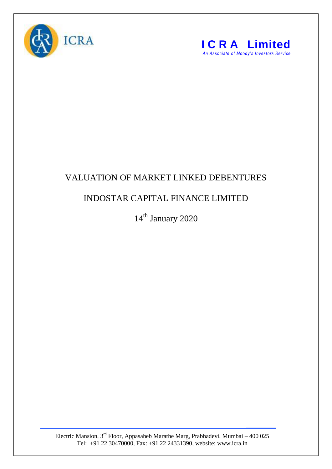



## VALUATION OF MARKET LINKED DEBENTURES

## INDOSTAR CAPITAL FINANCE LIMITED

14<sup>th</sup> January 2020